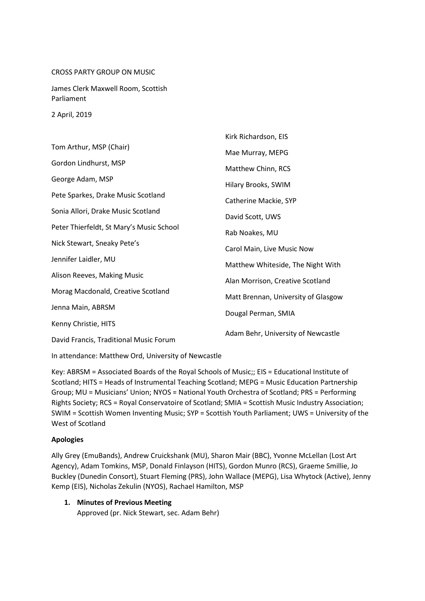#### CROSS PARTY GROUP ON MUSIC

James Clerk Maxwell Room, Scottish Parliament

2 April, 2019

|                                          | Kirk Richardson, EIS                |
|------------------------------------------|-------------------------------------|
| Tom Arthur, MSP (Chair)                  | Mae Murray, MEPG                    |
| Gordon Lindhurst, MSP                    | Matthew Chinn, RCS                  |
| George Adam, MSP                         | Hilary Brooks, SWIM                 |
| Pete Sparkes, Drake Music Scotland       |                                     |
|                                          | Catherine Mackie, SYP               |
| Sonia Allori, Drake Music Scotland       | David Scott, UWS                    |
| Peter Thierfeldt, St Mary's Music School | Rab Noakes, MU                      |
| Nick Stewart, Sneaky Pete's              | Carol Main, Live Music Now          |
| Jennifer Laidler, MU                     |                                     |
|                                          | Matthew Whiteside, The Night With   |
| Alison Reeves, Making Music              | Alan Morrison, Creative Scotland    |
| Morag Macdonald, Creative Scotland       | Matt Brennan, University of Glasgow |
|                                          |                                     |
| Jenna Main, ABRSM                        | Dougal Perman, SMIA                 |
| Kenny Christie, HITS                     |                                     |
| David Francis, Traditional Music Forum   | Adam Behr, University of Newcastle  |

In attendance: Matthew Ord, University of Newcastle

Key: ABRSM = Associated Boards of the Royal Schools of Music;; EIS = Educational Institute of Scotland; HITS = Heads of Instrumental Teaching Scotland; MEPG = Music Education Partnership Group; MU = Musicians' Union; NYOS = National Youth Orchestra of Scotland; PRS = Performing Rights Society; RCS = Royal Conservatoire of Scotland; SMIA = Scottish Music Industry Association; SWIM = Scottish Women Inventing Music; SYP = Scottish Youth Parliament; UWS = University of the West of Scotland

### **Apologies**

Ally Grey (EmuBands), Andrew Cruickshank (MU), Sharon Mair (BBC), Yvonne McLellan (Lost Art Agency), Adam Tomkins, MSP, Donald Finlayson (HITS), Gordon Munro (RCS), Graeme Smillie, Jo Buckley (Dunedin Consort), Stuart Fleming (PRS), John Wallace (MEPG), Lisa Whytock (Active), Jenny Kemp (EIS), Nicholas Zekulin (NYOS), Rachael Hamilton, MSP

**1. Minutes of Previous Meeting** Approved (pr. Nick Stewart, sec. Adam Behr)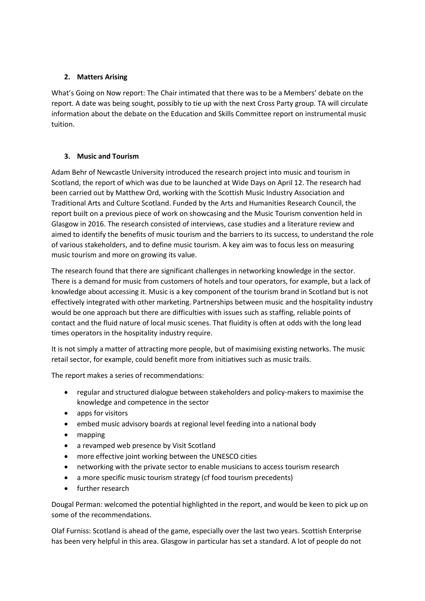## **2. Matters Arising**

What's Going on Now report: The Chair intimated that there was to be a Members' debate on the report. A date was being sought, possibly to tie up with the next Cross Party group. TA will circulate information about the debate on the Education and Skills Committee report on instrumental music tuition.

# **3. Music and Tourism**

Adam Behr of Newcastle University introduced the research project into music and tourism in Scotland, the report of which was due to be launched at Wide Days on April 12. The research had been carried out by Matthew Ord, working with the Scottish Music Industry Association and Traditional Arts and Culture Scotland. Funded by the Arts and Humanities Research Council, the report built on a previous piece of work on showcasing and the Music Tourism convention held in Glasgow in 2016. The research consisted of interviews, case studies and a literature review and aimed to identify the benefits of music tourism and the barriers to its success, to understand the role of various stakeholders, and to define music tourism. A key aim was to focus less on measuring music tourism and more on growing its value.

The research found that there are significant challenges in networking knowledge in the sector. There is a demand for music from customers of hotels and tour operators, for example, but a lack of knowledge about accessing it. Music is a key component of the tourism brand in Scotland but is not effectively integrated with other marketing. Partnerships between music and the hospitality industry would be one approach but there are difficulties with issues such as staffing, reliable points of contact and the fluid nature of local music scenes. That fluidity is often at odds with the long lead times operators in the hospitality industry require.

It is not simply a matter of attracting more people, but of maximising existing networks. The music retail sector, for example, could benefit more from initiatives such as music trails.

The report makes a series of recommendations:

- regular and structured dialogue between stakeholders and policy-makers to maximise the knowledge and competence in the sector
- apps for visitors
- embed music advisory boards at regional level feeding into a national body
- mapping
- a revamped web presence by Visit Scotland
- more effective joint working between the UNESCO cities
- networking with the private sector to enable musicians to access tourism research
- a more specific music tourism strategy (cf food tourism precedents)
- further research

Dougal Perman: welcomed the potential highlighted in the report, and would be keen to pick up on some of the recommendations.

Olaf Furniss: Scotland is ahead of the game, especially over the last two years. Scottish Enterprise has been very helpful in this area. Glasgow in particular has set a standard. A lot of people do not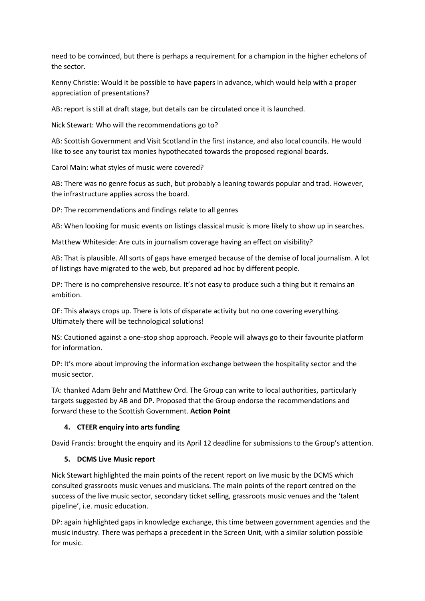need to be convinced, but there is perhaps a requirement for a champion in the higher echelons of the sector.

Kenny Christie: Would it be possible to have papers in advance, which would help with a proper appreciation of presentations?

AB: report is still at draft stage, but details can be circulated once it is launched.

Nick Stewart: Who will the recommendations go to?

AB: Scottish Government and Visit Scotland in the first instance, and also local councils. He would like to see any tourist tax monies hypothecated towards the proposed regional boards.

Carol Main: what styles of music were covered?

AB: There was no genre focus as such, but probably a leaning towards popular and trad. However, the infrastructure applies across the board.

DP: The recommendations and findings relate to all genres

AB: When looking for music events on listings classical music is more likely to show up in searches.

Matthew Whiteside: Are cuts in journalism coverage having an effect on visibility?

AB: That is plausible. All sorts of gaps have emerged because of the demise of local journalism. A lot of listings have migrated to the web, but prepared ad hoc by different people.

DP: There is no comprehensive resource. It's not easy to produce such a thing but it remains an ambition.

OF: This always crops up. There is lots of disparate activity but no one covering everything. Ultimately there will be technological solutions!

NS: Cautioned against a one-stop shop approach. People will always go to their favourite platform for information.

DP: It's more about improving the information exchange between the hospitality sector and the music sector.

TA: thanked Adam Behr and Matthew Ord. The Group can write to local authorities, particularly targets suggested by AB and DP. Proposed that the Group endorse the recommendations and forward these to the Scottish Government. **Action Point**

## **4. CTEER enquiry into arts funding**

David Francis: brought the enquiry and its April 12 deadline for submissions to the Group's attention.

### **5. DCMS Live Music report**

Nick Stewart highlighted the main points of the recent report on live music by the DCMS which consulted grassroots music venues and musicians. The main points of the report centred on the success of the live music sector, secondary ticket selling, grassroots music venues and the 'talent pipeline', i.e. music education.

DP: again highlighted gaps in knowledge exchange, this time between government agencies and the music industry. There was perhaps a precedent in the Screen Unit, with a similar solution possible for music.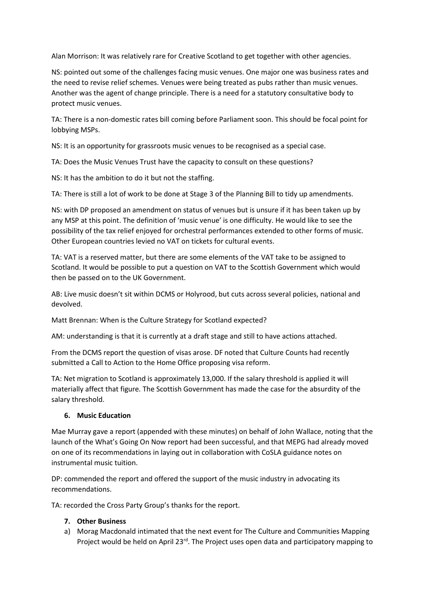Alan Morrison: It was relatively rare for Creative Scotland to get together with other agencies.

NS: pointed out some of the challenges facing music venues. One major one was business rates and the need to revise relief schemes. Venues were being treated as pubs rather than music venues. Another was the agent of change principle. There is a need for a statutory consultative body to protect music venues.

TA: There is a non-domestic rates bill coming before Parliament soon. This should be focal point for lobbying MSPs.

NS: It is an opportunity for grassroots music venues to be recognised as a special case.

TA: Does the Music Venues Trust have the capacity to consult on these questions?

NS: It has the ambition to do it but not the staffing.

TA: There is still a lot of work to be done at Stage 3 of the Planning Bill to tidy up amendments.

NS: with DP proposed an amendment on status of venues but is unsure if it has been taken up by any MSP at this point. The definition of 'music venue' is one difficulty. He would like to see the possibility of the tax relief enjoyed for orchestral performances extended to other forms of music. Other European countries levied no VAT on tickets for cultural events.

TA: VAT is a reserved matter, but there are some elements of the VAT take to be assigned to Scotland. It would be possible to put a question on VAT to the Scottish Government which would then be passed on to the UK Government.

AB: Live music doesn't sit within DCMS or Holyrood, but cuts across several policies, national and devolved.

Matt Brennan: When is the Culture Strategy for Scotland expected?

AM: understanding is that it is currently at a draft stage and still to have actions attached.

From the DCMS report the question of visas arose. DF noted that Culture Counts had recently submitted a Call to Action to the Home Office proposing visa reform.

TA: Net migration to Scotland is approximately 13,000. If the salary threshold is applied it will materially affect that figure. The Scottish Government has made the case for the absurdity of the salary threshold.

### **6. Music Education**

Mae Murray gave a report (appended with these minutes) on behalf of John Wallace, noting that the launch of the What's Going On Now report had been successful, and that MEPG had already moved on one of its recommendations in laying out in collaboration with CoSLA guidance notes on instrumental music tuition.

DP: commended the report and offered the support of the music industry in advocating its recommendations.

TA: recorded the Cross Party Group's thanks for the report.

### **7. Other Business**

a) Morag Macdonald intimated that the next event for The Culture and Communities Mapping Project would be held on April 23 $^{rd}$ . The Project uses open data and participatory mapping to